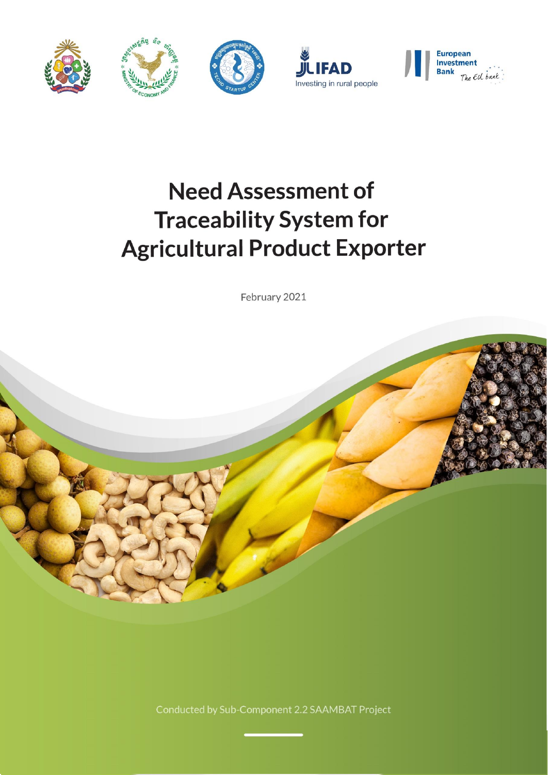



# **Need Assessment of Traceability System for Agricultural Product Exporter**

February 2021



Conducted by Sub-Component 2.2 SAAMBAT Project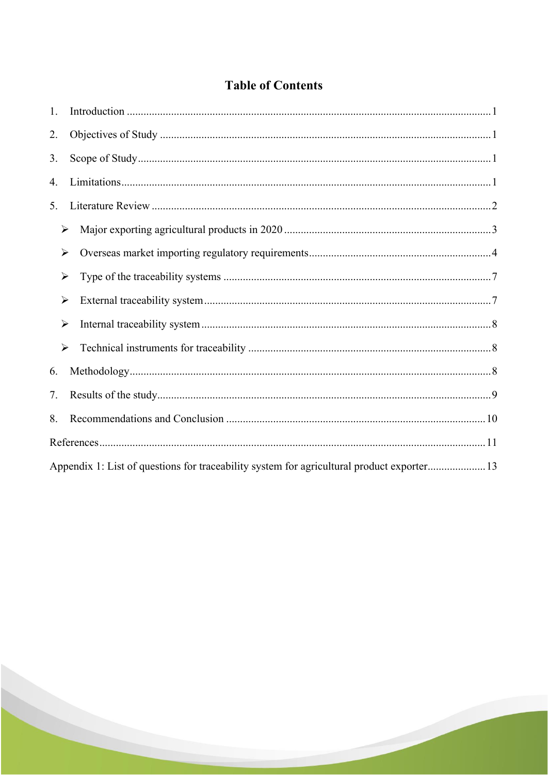### **Table of Contents**

| 1. |                                                                                           |  |
|----|-------------------------------------------------------------------------------------------|--|
| 2. |                                                                                           |  |
| 3. |                                                                                           |  |
| 4. |                                                                                           |  |
| 5. |                                                                                           |  |
|    | $\blacktriangleright$                                                                     |  |
|    | $\blacktriangleright$                                                                     |  |
|    | ≻                                                                                         |  |
|    | ≻                                                                                         |  |
|    | ≻                                                                                         |  |
|    | $\blacktriangleright$                                                                     |  |
| 6. |                                                                                           |  |
| 7. |                                                                                           |  |
| 8. |                                                                                           |  |
|    |                                                                                           |  |
|    | Appendix 1: List of questions for traceability system for agricultural product exporter13 |  |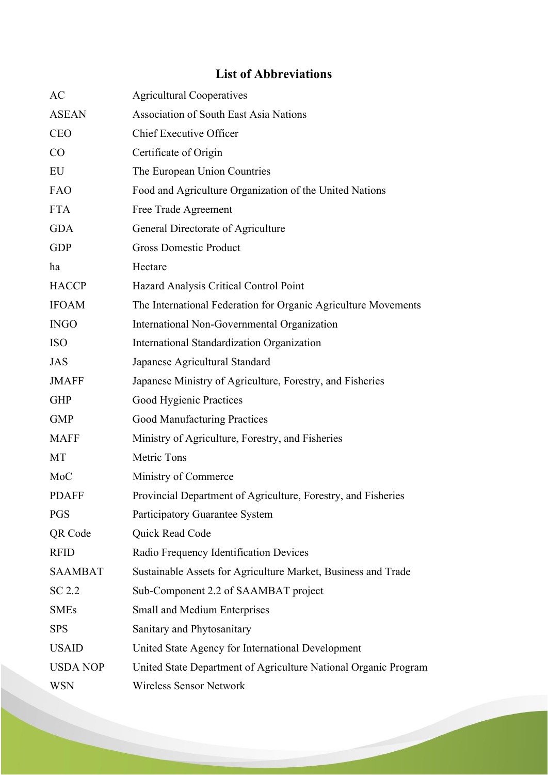### **List of Abbreviations**

| AC              | <b>Agricultural Cooperatives</b>                                |
|-----------------|-----------------------------------------------------------------|
| <b>ASEAN</b>    | <b>Association of South East Asia Nations</b>                   |
| <b>CEO</b>      | Chief Executive Officer                                         |
| CO              | Certificate of Origin                                           |
| EU              | The European Union Countries                                    |
| FAO             | Food and Agriculture Organization of the United Nations         |
| <b>FTA</b>      | Free Trade Agreement                                            |
| <b>GDA</b>      | General Directorate of Agriculture                              |
| <b>GDP</b>      | <b>Gross Domestic Product</b>                                   |
| ha              | Hectare                                                         |
| <b>HACCP</b>    | Hazard Analysis Critical Control Point                          |
| <b>IFOAM</b>    | The International Federation for Organic Agriculture Movements  |
| <b>INGO</b>     | International Non-Governmental Organization                     |
| <b>ISO</b>      | International Standardization Organization                      |
| JAS             | Japanese Agricultural Standard                                  |
| <b>JMAFF</b>    | Japanese Ministry of Agriculture, Forestry, and Fisheries       |
| <b>GHP</b>      | Good Hygienic Practices                                         |
| <b>GMP</b>      | Good Manufacturing Practices                                    |
| <b>MAFF</b>     | Ministry of Agriculture, Forestry, and Fisheries                |
| MT              | Metric Tons                                                     |
| MoC             | Ministry of Commerce                                            |
| <b>PDAFF</b>    | Provincial Department of Agriculture, Forestry, and Fisheries   |
| <b>PGS</b>      | Participatory Guarantee System                                  |
| QR Code         | Quick Read Code                                                 |
| <b>RFID</b>     | Radio Frequency Identification Devices                          |
| <b>SAAMBAT</b>  | Sustainable Assets for Agriculture Market, Business and Trade   |
| SC 2.2          | Sub-Component 2.2 of SAAMBAT project                            |
| <b>SMEs</b>     | <b>Small and Medium Enterprises</b>                             |
| <b>SPS</b>      | Sanitary and Phytosanitary                                      |
| <b>USAID</b>    | United State Agency for International Development               |
| <b>USDA NOP</b> | United State Department of Agriculture National Organic Program |
| <b>WSN</b>      | <b>Wireless Sensor Network</b>                                  |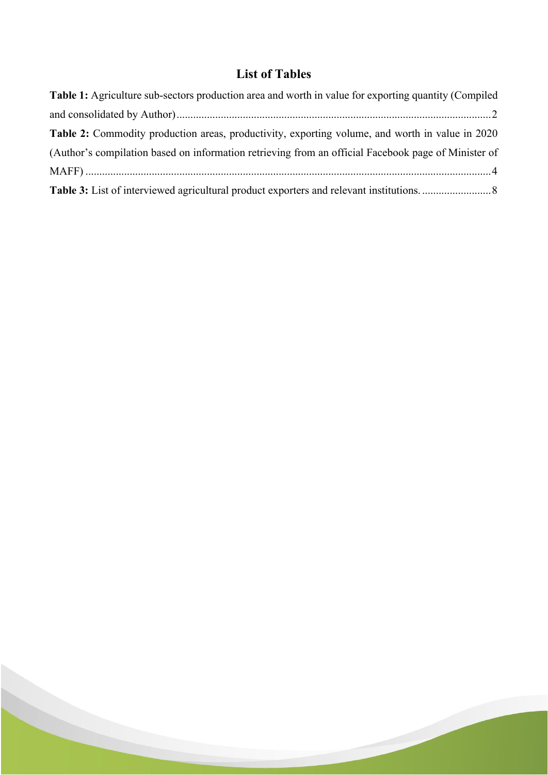### **List of Tables**

| Table 1: Agriculture sub-sectors production area and worth in value for exporting quantity (Compiled |  |
|------------------------------------------------------------------------------------------------------|--|
|                                                                                                      |  |
| Table 2: Commodity production areas, productivity, exporting volume, and worth in value in 2020      |  |
| (Author's compilation based on information retrieving from an official Facebook page of Minister of  |  |
|                                                                                                      |  |
|                                                                                                      |  |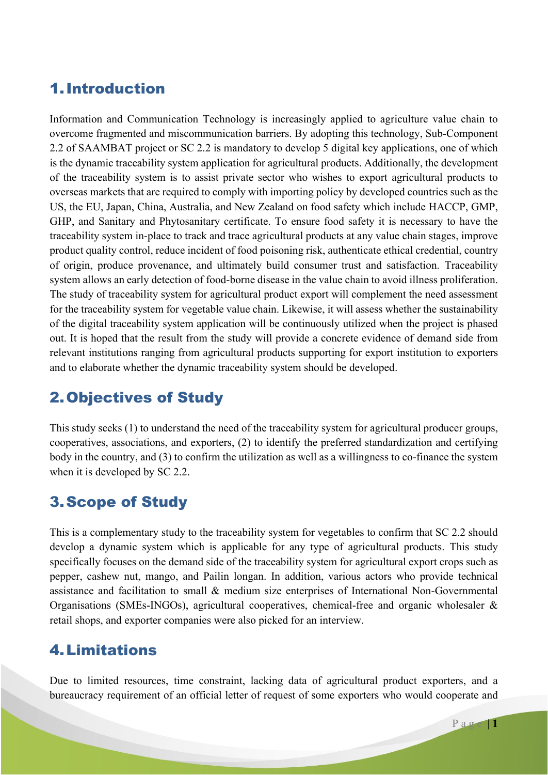### 1.Introduction

Information and Communication Technology is increasingly applied to agriculture value chain to overcome fragmented and miscommunication barriers. By adopting this technology, Sub-Component 2.2 of SAAMBAT project or SC 2.2 is mandatory to develop 5 digital key applications, one of which is the dynamic traceability system application for agricultural products. Additionally, the development of the traceability system is to assist private sector who wishes to export agricultural products to overseas markets that are required to comply with importing policy by developed countries such as the US, the EU, Japan, China, Australia, and New Zealand on food safety which include HACCP, GMP, GHP, and Sanitary and Phytosanitary certificate. To ensure food safety it is necessary to have the traceability system in-place to track and trace agricultural products at any value chain stages, improve product quality control, reduce incident of food poisoning risk, authenticate ethical credential, country of origin, produce provenance, and ultimately build consumer trust and satisfaction. Traceability system allows an early detection of food-borne disease in the value chain to avoid illness proliferation. The study of traceability system for agricultural product export will complement the need assessment for the traceability system for vegetable value chain. Likewise, it will assess whether the sustainability of the digital traceability system application will be continuously utilized when the project is phased out. It is hoped that the result from the study will provide a concrete evidence of demand side from relevant institutions ranging from agricultural products supporting for export institution to exporters and to elaborate whether the dynamic traceability system should be developed.

## 2.Objectives of Study

This study seeks (1) to understand the need of the traceability system for agricultural producer groups, cooperatives, associations, and exporters, (2) to identify the preferred standardization and certifying body in the country, and (3) to confirm the utilization as well as a willingness to co-finance the system when it is developed by SC 2.2.

# 3.Scope of Study

This is a complementary study to the traceability system for vegetables to confirm that SC 2.2 should develop a dynamic system which is applicable for any type of agricultural products. This study specifically focuses on the demand side of the traceability system for agricultural export crops such as pepper, cashew nut, mango, and Pailin longan. In addition, various actors who provide technical assistance and facilitation to small & medium size enterprises of International Non-Governmental Organisations (SMEs-INGOs), agricultural cooperatives, chemical-free and organic wholesaler & retail shops, and exporter companies were also picked for an interview.

### 4.Limitations

Due to limited resources, time constraint, lacking data of agricultural product exporters, and a bureaucracy requirement of an official letter of request of some exporters who would cooperate and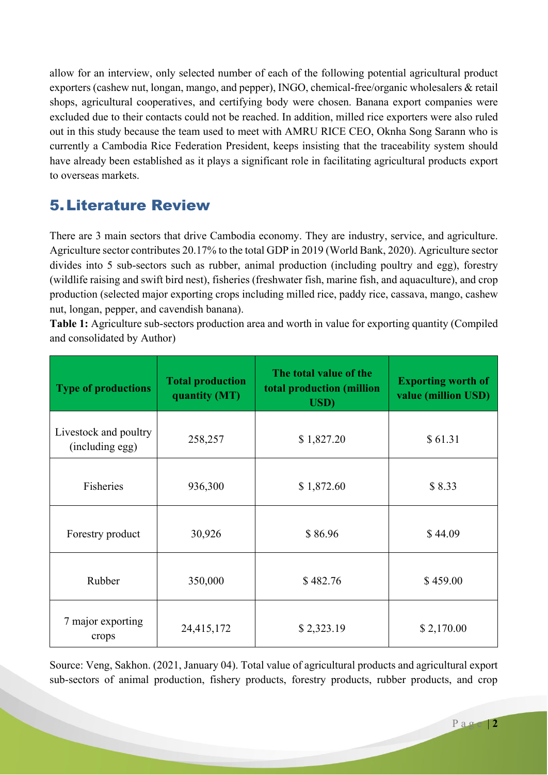allow for an interview, only selected number of each of the following potential agricultural product exporters (cashew nut, longan, mango, and pepper), INGO, chemical-free/organic wholesalers & retail shops, agricultural cooperatives, and certifying body were chosen. Banana export companies were excluded due to their contacts could not be reached. In addition, milled rice exporters were also ruled out in this study because the team used to meet with AMRU RICE CEO, Oknha Song Sarann who is currently a Cambodia Rice Federation President, keeps insisting that the traceability system should have already been established as it plays a significant role in facilitating agricultural products export to overseas markets.

# 5.Literature Review

There are 3 main sectors that drive Cambodia economy. They are industry, service, and agriculture. Agriculture sector contributes 20.17% to the total GDP in 2019 (World Bank, 2020). Agriculture sector divides into 5 sub-sectors such as rubber, animal production (including poultry and egg), forestry (wildlife raising and swift bird nest), fisheries (freshwater fish, marine fish, and aquaculture), and crop production (selected major exporting crops including milled rice, paddy rice, cassava, mango, cashew nut, longan, pepper, and cavendish banana).

**Table 1:** Agriculture sub-sectors production area and worth in value for exporting quantity (Compiled and consolidated by Author)

| <b>Total production</b><br><b>Type of productions</b><br>quantity (MT) |            | The total value of the<br>total production (million<br><b>USD</b> ) | <b>Exporting worth of</b><br>value (million USD) |  |
|------------------------------------------------------------------------|------------|---------------------------------------------------------------------|--------------------------------------------------|--|
| Livestock and poultry<br>(including egg)                               | 258,257    | \$1,827.20                                                          | \$61.31                                          |  |
| Fisheries                                                              | 936,300    | \$1,872.60                                                          | \$8.33                                           |  |
| Forestry product                                                       | 30,926     | \$86.96                                                             | \$44.09                                          |  |
| Rubber                                                                 | 350,000    | \$482.76                                                            | \$459.00                                         |  |
| 7 major exporting<br>crops                                             | 24,415,172 | \$2,323.19                                                          | \$2,170.00                                       |  |

Source: Veng, Sakhon. (2021, January 04). Total value of agricultural products and agricultural export sub-sectors of animal production, fishery products, forestry products, rubber products, and crop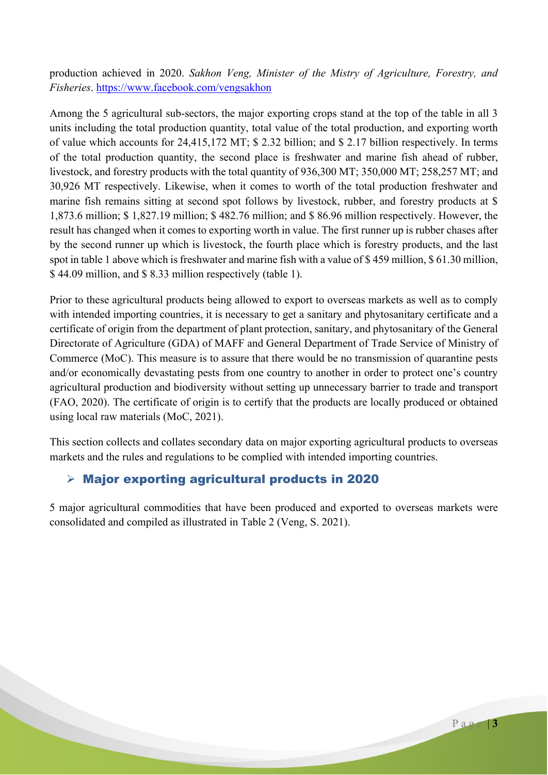production achieved in 2020. *Sakhon Veng, Minister of the Mistry of Agriculture, Forestry, and Fisheries*. https://www.facebook.com/vengsakhon

Among the 5 agricultural sub-sectors, the major exporting crops stand at the top of the table in all 3 units including the total production quantity, total value of the total production, and exporting worth of value which accounts for 24,415,172 MT; \$ 2.32 billion; and \$ 2.17 billion respectively. In terms of the total production quantity, the second place is freshwater and marine fish ahead of rubber, livestock, and forestry products with the total quantity of 936,300 MT; 350,000 MT; 258,257 MT; and 30,926 MT respectively. Likewise, when it comes to worth of the total production freshwater and marine fish remains sitting at second spot follows by livestock, rubber, and forestry products at \$ 1,873.6 million; \$ 1,827.19 million; \$ 482.76 million; and \$ 86.96 million respectively. However, the result has changed when it comes to exporting worth in value. The first runner up is rubber chases after by the second runner up which is livestock, the fourth place which is forestry products, and the last spot in table 1 above which is freshwater and marine fish with a value of \$ 459 million, \$ 61.30 million, \$ 44.09 million, and \$ 8.33 million respectively (table 1).

Prior to these agricultural products being allowed to export to overseas markets as well as to comply with intended importing countries, it is necessary to get a sanitary and phytosanitary certificate and a certificate of origin from the department of plant protection, sanitary, and phytosanitary of the General Directorate of Agriculture (GDA) of MAFF and General Department of Trade Service of Ministry of Commerce (MoC). This measure is to assure that there would be no transmission of quarantine pests and/or economically devastating pests from one country to another in order to protect one's country agricultural production and biodiversity without setting up unnecessary barrier to trade and transport (FAO, 2020). The certificate of origin is to certify that the products are locally produced or obtained using local raw materials (MoC, 2021).

This section collects and collates secondary data on major exporting agricultural products to overseas markets and the rules and regulations to be complied with intended importing countries.

### Major exporting agricultural products in 2020

5 major agricultural commodities that have been produced and exported to overseas markets were consolidated and compiled as illustrated in Table 2 (Veng, S. 2021).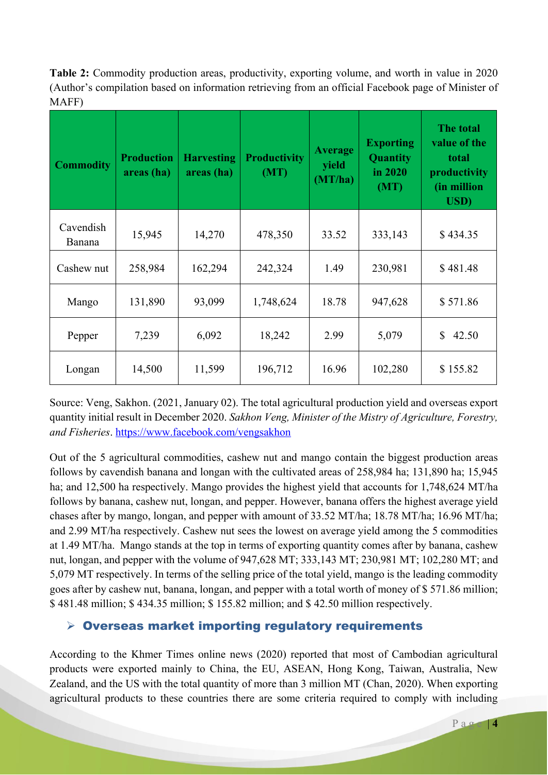**Table 2:** Commodity production areas, productivity, exporting volume, and worth in value in 2020 (Author's compilation based on information retrieving from an official Facebook page of Minister of MAFF)

| <b>Commodity</b>    | <b>Production</b><br>areas (ha) | <b>Harvesting</b><br>areas (ha) | <b>Productivity</b><br>(MT) | <b>Average</b><br>yield<br>(MT/ha) | <b>Exporting</b><br><b>Quantity</b><br>in 2020<br>(MT) | The total<br>value of the<br>total<br>productivity<br>(in million<br><b>USD</b> ) |
|---------------------|---------------------------------|---------------------------------|-----------------------------|------------------------------------|--------------------------------------------------------|-----------------------------------------------------------------------------------|
| Cavendish<br>Banana | 15,945                          | 14,270                          | 478,350                     | 33.52                              | 333,143                                                | \$434.35                                                                          |
| Cashew nut          | 258,984                         | 162,294                         | 242,324                     | 1.49                               | 230,981                                                | \$481.48                                                                          |
| Mango               | 131,890                         | 93,099                          | 1,748,624                   | 18.78                              | 947,628                                                | \$571.86                                                                          |
| Pepper              | 7,239                           | 6,092                           | 18,242                      | 2.99                               | 5,079                                                  | $\mathbb{S}$<br>42.50                                                             |
| Longan              | 14,500                          | 11,599                          | 196,712                     | 16.96                              | 102,280                                                | \$155.82                                                                          |

Source: Veng, Sakhon. (2021, January 02). The total agricultural production yield and overseas export quantity initial result in December 2020. *Sakhon Veng, Minister of the Mistry of Agriculture, Forestry, and Fisheries*. https://www.facebook.com/vengsakhon

Out of the 5 agricultural commodities, cashew nut and mango contain the biggest production areas follows by cavendish banana and longan with the cultivated areas of 258,984 ha; 131,890 ha; 15,945 ha; and 12,500 ha respectively. Mango provides the highest yield that accounts for 1,748,624 MT/ha follows by banana, cashew nut, longan, and pepper. However, banana offers the highest average yield chases after by mango, longan, and pepper with amount of 33.52 MT/ha; 18.78 MT/ha; 16.96 MT/ha; and 2.99 MT/ha respectively. Cashew nut sees the lowest on average yield among the 5 commodities at 1.49 MT/ha. Mango stands at the top in terms of exporting quantity comes after by banana, cashew nut, longan, and pepper with the volume of 947,628 MT; 333,143 MT; 230,981 MT; 102,280 MT; and 5,079 MT respectively. In terms of the selling price of the total yield, mango is the leading commodity goes after by cashew nut, banana, longan, and pepper with a total worth of money of \$ 571.86 million; \$ 481.48 million; \$ 434.35 million; \$ 155.82 million; and \$ 42.50 million respectively.

### $\triangleright$  Overseas market importing regulatory requirements

According to the Khmer Times online news (2020) reported that most of Cambodian agricultural products were exported mainly to China, the EU, ASEAN, Hong Kong, Taiwan, Australia, New Zealand, and the US with the total quantity of more than 3 million MT (Chan, 2020). When exporting agricultural products to these countries there are some criteria required to comply with including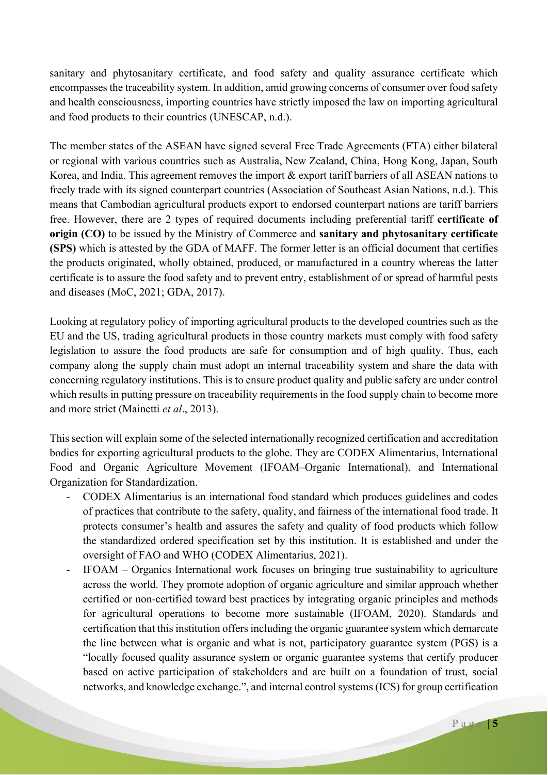sanitary and phytosanitary certificate, and food safety and quality assurance certificate which encompasses the traceability system. In addition, amid growing concerns of consumer over food safety and health consciousness, importing countries have strictly imposed the law on importing agricultural and food products to their countries (UNESCAP, n.d.).

The member states of the ASEAN have signed several Free Trade Agreements (FTA) either bilateral or regional with various countries such as Australia, New Zealand, China, Hong Kong, Japan, South Korea, and India. This agreement removes the import & export tariff barriers of all ASEAN nations to freely trade with its signed counterpart countries (Association of Southeast Asian Nations, n.d.). This means that Cambodian agricultural products export to endorsed counterpart nations are tariff barriers free. However, there are 2 types of required documents including preferential tariff **certificate of origin (CO)** to be issued by the Ministry of Commerce and **sanitary and phytosanitary certificate (SPS)** which is attested by the GDA of MAFF. The former letter is an official document that certifies the products originated, wholly obtained, produced, or manufactured in a country whereas the latter certificate is to assure the food safety and to prevent entry, establishment of or spread of harmful pests and diseases (MoC, 2021; GDA, 2017).

Looking at regulatory policy of importing agricultural products to the developed countries such as the EU and the US, trading agricultural products in those country markets must comply with food safety legislation to assure the food products are safe for consumption and of high quality. Thus, each company along the supply chain must adopt an internal traceability system and share the data with concerning regulatory institutions. This is to ensure product quality and public safety are under control which results in putting pressure on traceability requirements in the food supply chain to become more and more strict (Mainetti *et al*., 2013).

This section will explain some of the selected internationally recognized certification and accreditation bodies for exporting agricultural products to the globe. They are CODEX Alimentarius, International Food and Organic Agriculture Movement (IFOAM–Organic International), and International Organization for Standardization.

- CODEX Alimentarius is an international food standard which produces guidelines and codes of practices that contribute to the safety, quality, and fairness of the international food trade. It protects consumer's health and assures the safety and quality of food products which follow the standardized ordered specification set by this institution. It is established and under the oversight of FAO and WHO (CODEX Alimentarius, 2021).
- IFOAM Organics International work focuses on bringing true sustainability to agriculture across the world. They promote adoption of organic agriculture and similar approach whether certified or non-certified toward best practices by integrating organic principles and methods for agricultural operations to become more sustainable (IFOAM, 2020). Standards and certification that this institution offers including the organic guarantee system which demarcate the line between what is organic and what is not, participatory guarantee system (PGS) is a "locally focused quality assurance system or organic guarantee systems that certify producer based on active participation of stakeholders and are built on a foundation of trust, social networks, and knowledge exchange.", and internal control systems (ICS) for group certification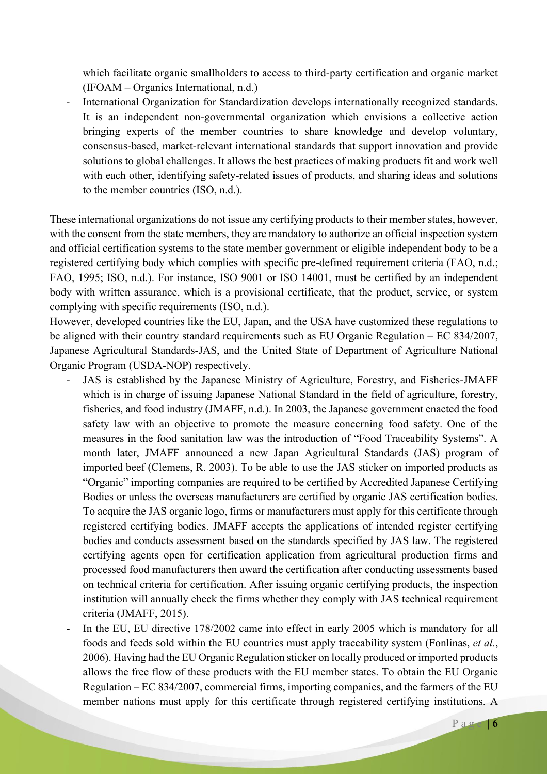which facilitate organic smallholders to access to third-party certification and organic market (IFOAM – Organics International, n.d.)

International Organization for Standardization develops internationally recognized standards. It is an independent non-governmental organization which envisions a collective action bringing experts of the member countries to share knowledge and develop voluntary, consensus-based, market-relevant international standards that support innovation and provide solutions to global challenges. It allows the best practices of making products fit and work well with each other, identifying safety-related issues of products, and sharing ideas and solutions to the member countries (ISO, n.d.).

These international organizations do not issue any certifying products to their member states, however, with the consent from the state members, they are mandatory to authorize an official inspection system and official certification systems to the state member government or eligible independent body to be a registered certifying body which complies with specific pre-defined requirement criteria (FAO, n.d.; FAO, 1995; ISO, n.d.). For instance, ISO 9001 or ISO 14001, must be certified by an independent body with written assurance, which is a provisional certificate, that the product, service, or system complying with specific requirements (ISO, n.d.).

However, developed countries like the EU, Japan, and the USA have customized these regulations to be aligned with their country standard requirements such as EU Organic Regulation – EC 834/2007, Japanese Agricultural Standards-JAS, and the United State of Department of Agriculture National Organic Program (USDA-NOP) respectively.

- JAS is established by the Japanese Ministry of Agriculture, Forestry, and Fisheries-JMAFF which is in charge of issuing Japanese National Standard in the field of agriculture, forestry, fisheries, and food industry (JMAFF, n.d.). In 2003, the Japanese government enacted the food safety law with an objective to promote the measure concerning food safety. One of the measures in the food sanitation law was the introduction of "Food Traceability Systems". A month later, JMAFF announced a new Japan Agricultural Standards (JAS) program of imported beef (Clemens, R. 2003). To be able to use the JAS sticker on imported products as "Organic" importing companies are required to be certified by Accredited Japanese Certifying Bodies or unless the overseas manufacturers are certified by organic JAS certification bodies. To acquire the JAS organic logo, firms or manufacturers must apply for this certificate through registered certifying bodies. JMAFF accepts the applications of intended register certifying bodies and conducts assessment based on the standards specified by JAS law. The registered certifying agents open for certification application from agricultural production firms and processed food manufacturers then award the certification after conducting assessments based on technical criteria for certification. After issuing organic certifying products, the inspection institution will annually check the firms whether they comply with JAS technical requirement criteria (JMAFF, 2015).
- In the EU, EU directive 178/2002 came into effect in early 2005 which is mandatory for all foods and feeds sold within the EU countries must apply traceability system (Fonlinas, *et al.*, 2006). Having had the EU Organic Regulation sticker on locally produced or imported products allows the free flow of these products with the EU member states. To obtain the EU Organic Regulation – EC 834/2007, commercial firms, importing companies, and the farmers of the EU member nations must apply for this certificate through registered certifying institutions. A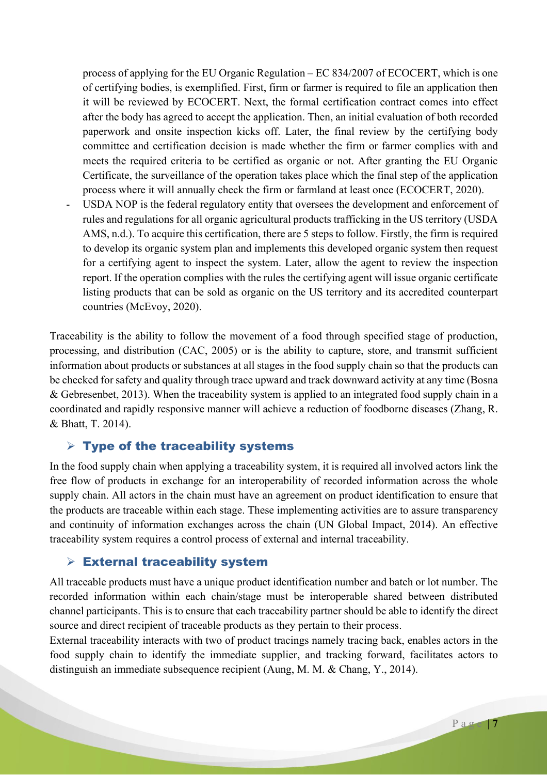process of applying for the EU Organic Regulation – EC 834/2007 of ECOCERT, which is one of certifying bodies, is exemplified. First, firm or farmer is required to file an application then it will be reviewed by ECOCERT. Next, the formal certification contract comes into effect after the body has agreed to accept the application. Then, an initial evaluation of both recorded paperwork and onsite inspection kicks off. Later, the final review by the certifying body committee and certification decision is made whether the firm or farmer complies with and meets the required criteria to be certified as organic or not. After granting the EU Organic Certificate, the surveillance of the operation takes place which the final step of the application process where it will annually check the firm or farmland at least once (ECOCERT, 2020).

USDA NOP is the federal regulatory entity that oversees the development and enforcement of rules and regulations for all organic agricultural products trafficking in the US territory (USDA AMS, n.d.). To acquire this certification, there are 5 steps to follow. Firstly, the firm is required to develop its organic system plan and implements this developed organic system then request for a certifying agent to inspect the system. Later, allow the agent to review the inspection report. If the operation complies with the rules the certifying agent will issue organic certificate listing products that can be sold as organic on the US territory and its accredited counterpart countries (McEvoy, 2020).

Traceability is the ability to follow the movement of a food through specified stage of production, processing, and distribution (CAC, 2005) or is the ability to capture, store, and transmit sufficient information about products or substances at all stages in the food supply chain so that the products can be checked for safety and quality through trace upward and track downward activity at any time (Bosna & Gebresenbet, 2013). When the traceability system is applied to an integrated food supply chain in a coordinated and rapidly responsive manner will achieve a reduction of foodborne diseases (Zhang, R. & Bhatt, T. 2014).

#### $\triangleright$  Type of the traceability systems

In the food supply chain when applying a traceability system, it is required all involved actors link the free flow of products in exchange for an interoperability of recorded information across the whole supply chain. All actors in the chain must have an agreement on product identification to ensure that the products are traceable within each stage. These implementing activities are to assure transparency and continuity of information exchanges across the chain (UN Global Impact, 2014). An effective traceability system requires a control process of external and internal traceability.

#### $\triangleright$  External traceability system

All traceable products must have a unique product identification number and batch or lot number. The recorded information within each chain/stage must be interoperable shared between distributed channel participants. This is to ensure that each traceability partner should be able to identify the direct source and direct recipient of traceable products as they pertain to their process.

External traceability interacts with two of product tracings namely tracing back, enables actors in the food supply chain to identify the immediate supplier, and tracking forward, facilitates actors to distinguish an immediate subsequence recipient (Aung, M. M. & Chang, Y., 2014).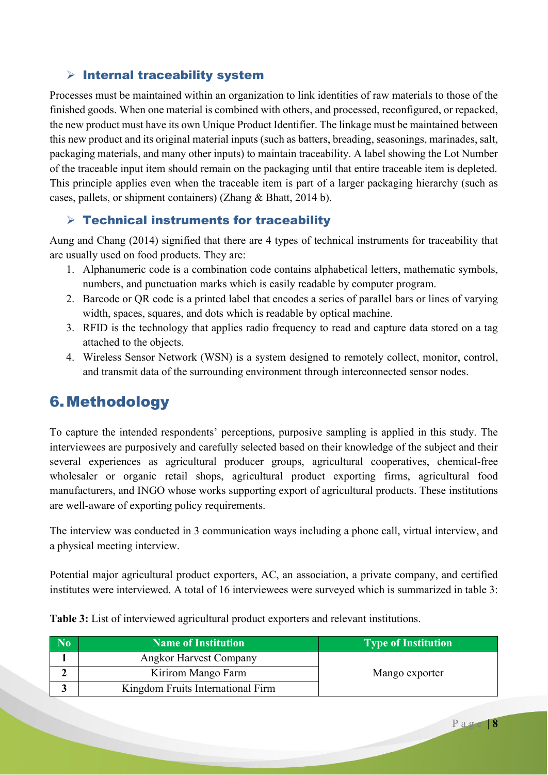### $\triangleright$  Internal traceability system

Processes must be maintained within an organization to link identities of raw materials to those of the finished goods. When one material is combined with others, and processed, reconfigured, or repacked, the new product must have its own Unique Product Identifier. The linkage must be maintained between this new product and its original material inputs (such as batters, breading, seasonings, marinades, salt, packaging materials, and many other inputs) to maintain traceability. A label showing the Lot Number of the traceable input item should remain on the packaging until that entire traceable item is depleted. This principle applies even when the traceable item is part of a larger packaging hierarchy (such as cases, pallets, or shipment containers) (Zhang & Bhatt, 2014 b).

### $\triangleright$  Technical instruments for traceability

Aung and Chang (2014) signified that there are 4 types of technical instruments for traceability that are usually used on food products. They are:

- 1. Alphanumeric code is a combination code contains alphabetical letters, mathematic symbols, numbers, and punctuation marks which is easily readable by computer program.
- 2. Barcode or QR code is a printed label that encodes a series of parallel bars or lines of varying width, spaces, squares, and dots which is readable by optical machine.
- 3. RFID is the technology that applies radio frequency to read and capture data stored on a tag attached to the objects.
- 4. Wireless Sensor Network (WSN) is a system designed to remotely collect, monitor, control, and transmit data of the surrounding environment through interconnected sensor nodes.

## 6.Methodology

To capture the intended respondents' perceptions, purposive sampling is applied in this study. The interviewees are purposively and carefully selected based on their knowledge of the subject and their several experiences as agricultural producer groups, agricultural cooperatives, chemical-free wholesaler or organic retail shops, agricultural product exporting firms, agricultural food manufacturers, and INGO whose works supporting export of agricultural products. These institutions are well-aware of exporting policy requirements.

The interview was conducted in 3 communication ways including a phone call, virtual interview, and a physical meeting interview.

Potential major agricultural product exporters, AC, an association, a private company, and certified institutes were interviewed. A total of 16 interviewees were surveyed which is summarized in table 3:

| No. | <b>Name of Institution</b>        | <b>Type of Institution</b> |
|-----|-----------------------------------|----------------------------|
|     | <b>Angkor Harvest Company</b>     |                            |
|     | Kirirom Mango Farm                | Mango exporter             |
|     | Kingdom Fruits International Firm |                            |

**Table 3:** List of interviewed agricultural product exporters and relevant institutions.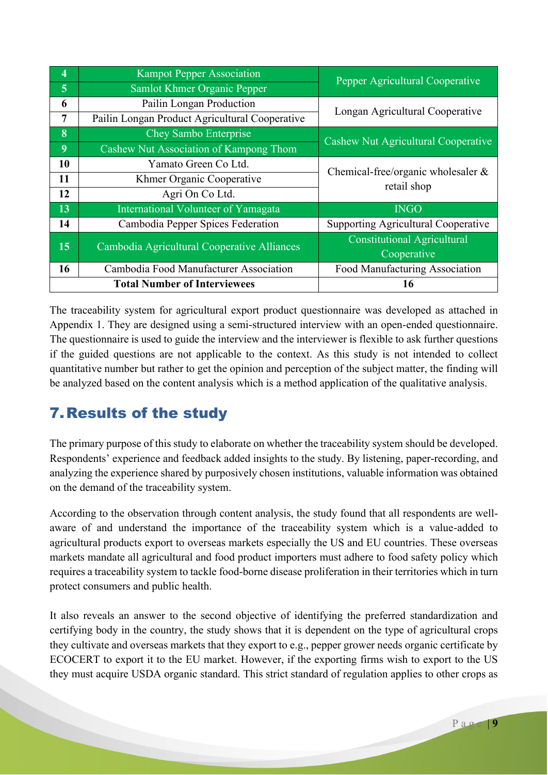| 4              | <b>Kampot Pepper Association</b>               | Pepper Agricultural Cooperative       |  |
|----------------|------------------------------------------------|---------------------------------------|--|
| $\overline{5}$ | Samlot Khmer Organic Pepper                    |                                       |  |
| 6              | Pailin Longan Production                       | Longan Agricultural Cooperative       |  |
| $\overline{7}$ | Pailin Longan Product Agricultural Cooperative |                                       |  |
| 8              | Chey Sambo Enterprise                          | Cashew Nut Agricultural Cooperative   |  |
| 9              | Cashew Nut Association of Kampong Thom         |                                       |  |
| 10             | Yamato Green Co Ltd.                           | Chemical-free/organic wholesaler $\&$ |  |
| 11             | Khmer Organic Cooperative                      | retail shop                           |  |
| 12             | Agri On Co Ltd.                                |                                       |  |
| 13             | International Volunteer of Yamagata            | <b>INGO</b>                           |  |
| 14             | Cambodia Pepper Spices Federation              | Supporting Agricultural Cooperative   |  |
| 15             | Cambodia Agricultural Cooperative Alliances    | <b>Constitutional Agricultural</b>    |  |
|                |                                                | Cooperative                           |  |
| 16             | Cambodia Food Manufacturer Association         | Food Manufacturing Association        |  |
|                | <b>Total Number of Interviewees</b>            | 16                                    |  |

The traceability system for agricultural export product questionnaire was developed as attached in Appendix 1. They are designed using a semi-structured interview with an open-ended questionnaire. The questionnaire is used to guide the interview and the interviewer is flexible to ask further questions if the guided questions are not applicable to the context. As this study is not intended to collect quantitative number but rather to get the opinion and perception of the subject matter, the finding will be analyzed based on the content analysis which is a method application of the qualitative analysis.

# 7.Results of the study

The primary purpose of this study to elaborate on whether the traceability system should be developed. Respondents' experience and feedback added insights to the study. By listening, paper-recording, and analyzing the experience shared by purposively chosen institutions, valuable information was obtained on the demand of the traceability system.

According to the observation through content analysis, the study found that all respondents are wellaware of and understand the importance of the traceability system which is a value-added to agricultural products export to overseas markets especially the US and EU countries. These overseas markets mandate all agricultural and food product importers must adhere to food safety policy which requires a traceability system to tackle food-borne disease proliferation in their territories which in turn protect consumers and public health.

It also reveals an answer to the second objective of identifying the preferred standardization and certifying body in the country, the study shows that it is dependent on the type of agricultural crops they cultivate and overseas markets that they export to e.g., pepper grower needs organic certificate by ECOCERT to export it to the EU market. However, if the exporting firms wish to export to the US they must acquire USDA organic standard. This strict standard of regulation applies to other crops as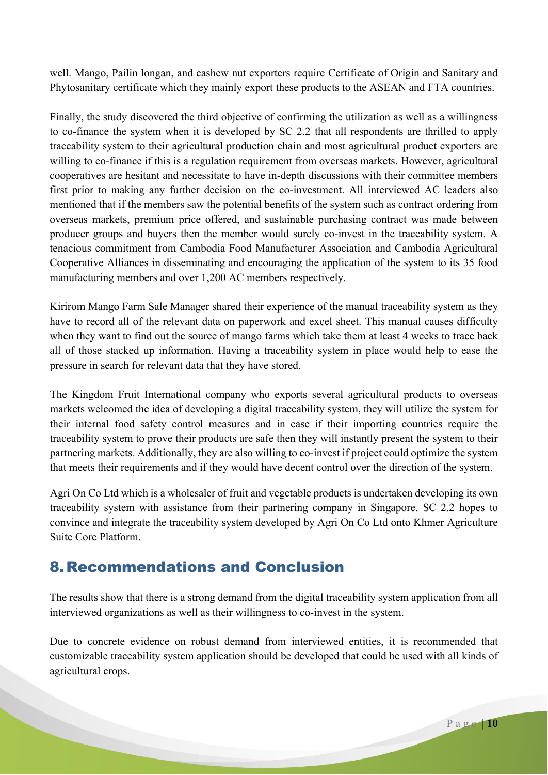well. Mango, Pailin longan, and cashew nut exporters require Certificate of Origin and Sanitary and Phytosanitary certificate which they mainly export these products to the ASEAN and FTA countries.

Finally, the study discovered the third objective of confirming the utilization as well as a willingness to co-finance the system when it is developed by SC 2.2 that all respondents are thrilled to apply traceability system to their agricultural production chain and most agricultural product exporters are willing to co-finance if this is a regulation requirement from overseas markets. However, agricultural cooperatives are hesitant and necessitate to have in-depth discussions with their committee members first prior to making any further decision on the co-investment. All interviewed AC leaders also mentioned that if the members saw the potential benefits of the system such as contract ordering from overseas markets, premium price offered, and sustainable purchasing contract was made between producer groups and buyers then the member would surely co-invest in the traceability system. A tenacious commitment from Cambodia Food Manufacturer Association and Cambodia Agricultural Cooperative Alliances in disseminating and encouraging the application of the system to its 35 food manufacturing members and over 1,200 AC members respectively.

Kirirom Mango Farm Sale Manager shared their experience of the manual traceability system as they have to record all of the relevant data on paperwork and excel sheet. This manual causes difficulty when they want to find out the source of mango farms which take them at least 4 weeks to trace back all of those stacked up information. Having a traceability system in place would help to ease the pressure in search for relevant data that they have stored.

The Kingdom Fruit International company who exports several agricultural products to overseas markets welcomed the idea of developing a digital traceability system, they will utilize the system for their internal food safety control measures and in case if their importing countries require the traceability system to prove their products are safe then they will instantly present the system to their partnering markets. Additionally, they are also willing to co-invest if project could optimize the system that meets their requirements and if they would have decent control over the direction of the system.

Agri On Co Ltd which is a wholesaler of fruit and vegetable products is undertaken developing its own traceability system with assistance from their partnering company in Singapore. SC 2.2 hopes to convince and integrate the traceability system developed by Agri On Co Ltd onto Khmer Agriculture Suite Core Platform.

## 8.Recommendations and Conclusion

The results show that there is a strong demand from the digital traceability system application from all interviewed organizations as well as their willingness to co-invest in the system.

Due to concrete evidence on robust demand from interviewed entities, it is recommended that customizable traceability system application should be developed that could be used with all kinds of agricultural crops.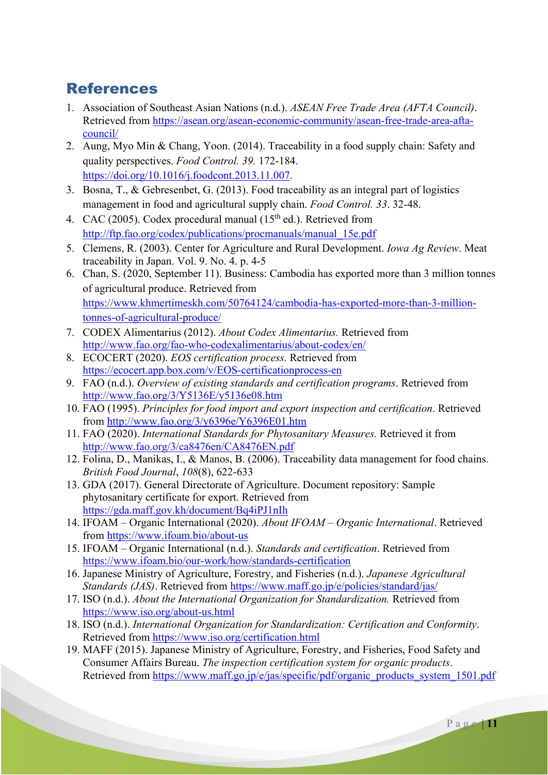## References

- 1. Association of Southeast Asian Nations (n.d.). *ASEAN Free Trade Area (AFTA Council)*. Retrieved from https://asean.org/asean-economic-community/asean-free-trade-area-aftacouncil/
- 2. Aung, Myo Min & Chang, Yoon. (2014). Traceability in a food supply chain: Safety and quality perspectives. *Food Control. 39.* 172-184. https://doi.org/10.1016/j.foodcont.2013.11.007.
- 3. Bosna, T., & Gebresenbet, G. (2013). Food traceability as an integral part of logistics management in food and agricultural supply chain. *Food Control. 33*. 32-48.
- 4. CAC (2005). Codex procedural manual ( $15<sup>th</sup>$  ed.). Retrieved from http://ftp.fao.org/codex/publications/procmanuals/manual\_15e.pdf
- 5. Clemens, R. (2003). Center for Agriculture and Rural Development. *Iowa Ag Review*. Meat traceability in Japan. Vol. 9. No. 4. p. 4-5
- 6. Chan, S. (2020, September 11). Business: Cambodia has exported more than 3 million tonnes of agricultural produce. Retrieved from https://www.khmertimeskh.com/50764124/cambodia-has-exported-more-than-3-milliontonnes-of-agricultural-produce/
- 7. CODEX Alimentarius (2012). *About Codex Alimentarius.* Retrieved from http://www.fao.org/fao-who-codexalimentarius/about-codex/en/
- 8. ECOCERT (2020). *EOS certification process.* Retrieved from https://ecocert.app.box.com/v/EOS-certificationprocess-en
- 9. FAO (n.d.). *Overview of existing standards and certification programs*. Retrieved from http://www.fao.org/3/Y5136E/y5136e08.htm
- 10. FAO (1995). *Principles for food import and export inspection and certification*. Retrieved from http://www.fao.org/3/y6396e/Y6396E01.htm
- 11. FAO (2020). *International Standards for Phytosanitary Measures.* Retrieved it from http://www.fao.org/3/ca8476en/CA8476EN.pdf
- 12. Folina, D., Manikas, I., & Manos, B. (2006). Traceability data management for food chains. *British Food Journal*, *108*(8), 622-633
- 13. GDA (2017). General Directorate of Agriculture. Document repository: Sample phytosanitary certificate for export. Retrieved from https://gda.maff.gov.kh/document/Bq4iPJ1nIh
- 14. IFOAM Organic International (2020). *About IFOAM – Organic International*. Retrieved from https://www.ifoam.bio/about-us
- 15. IFOAM Organic International (n.d.). *Standards and certification*. Retrieved from https://www.ifoam.bio/our-work/how/standards-certification
- 16. Japanese Ministry of Agriculture, Forestry, and Fisheries (n.d.). *Japanese Agricultural Standards (JAS)*. Retrieved from https://www.maff.go.jp/e/policies/standard/jas/
- 17. ISO (n.d.). *About the International Organization for Standardization.* Retrieved from https://www.iso.org/about-us.html
- 18. ISO (n.d.). *International Organization for Standardization: Certification and Conformity*. Retrieved from https://www.iso.org/certification.html
- 19. MAFF (2015). Japanese Ministry of Agriculture, Forestry, and Fisheries, Food Safety and Consumer Affairs Bureau. *The inspection certification system for organic products*. Retrieved from https://www.maff.go.jp/e/jas/specific/pdf/organic\_products\_system\_1501.pdf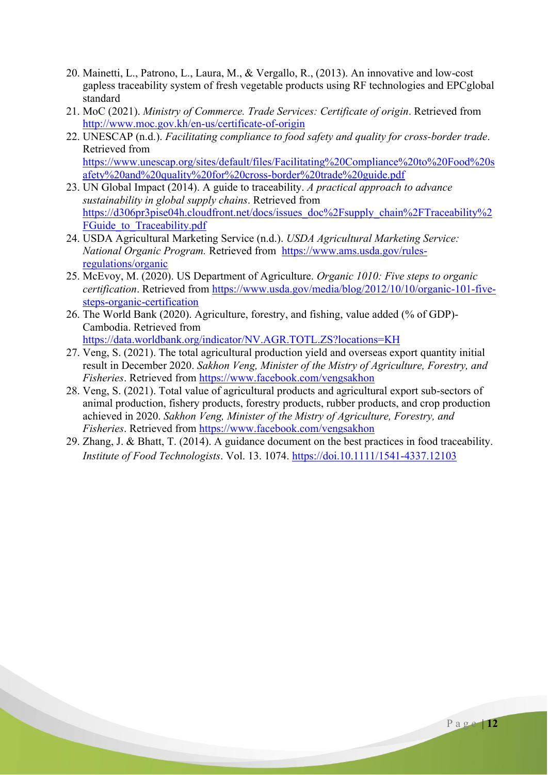- 20. Mainetti, L., Patrono, L., Laura, M., & Vergallo, R., (2013). An innovative and low-cost gapless traceability system of fresh vegetable products using RF technologies and EPCglobal standard
- 21. MoC (2021). *Ministry of Commerce. Trade Services: Certificate of origin*. Retrieved from http://www.moc.gov.kh/en-us/certificate-of-origin
- 22. UNESCAP (n.d.). *Facilitating compliance to food safety and quality for cross-border trade*. Retrieved from https://www.unescap.org/sites/default/files/Facilitating%20Compliance%20to%20Food%20s afety%20and%20quality%20for%20cross-border%20trade%20guide.pdf
- 23. UN Global Impact (2014). A guide to traceability. *A practical approach to advance sustainability in global supply chains*. Retrieved from https://d306pr3pise04h.cloudfront.net/docs/issues\_doc%2Fsupply\_chain%2FTraceability%2 FGuide to Traceability.pdf
- 24. USDA Agricultural Marketing Service (n.d.). *USDA Agricultural Marketing Service: National Organic Program.* Retrieved from https://www.ams.usda.gov/rulesregulations/organic
- 25. McEvoy, M. (2020). US Department of Agriculture. *Organic 1010: Five steps to organic certification*. Retrieved from https://www.usda.gov/media/blog/2012/10/10/organic-101-fivesteps-organic-certification
- 26. The World Bank (2020). Agriculture, forestry, and fishing, value added (% of GDP)- Cambodia. Retrieved from https://data.worldbank.org/indicator/NV.AGR.TOTL.ZS?locations=KH
- 27. Veng, S. (2021). The total agricultural production yield and overseas export quantity initial result in December 2020. *Sakhon Veng, Minister of the Mistry of Agriculture, Forestry, and Fisheries*. Retrieved from https://www.facebook.com/vengsakhon
- 28. Veng, S. (2021). Total value of agricultural products and agricultural export sub-sectors of animal production, fishery products, forestry products, rubber products, and crop production achieved in 2020. *Sakhon Veng, Minister of the Mistry of Agriculture, Forestry, and Fisheries*. Retrieved from https://www.facebook.com/vengsakhon
- 29. Zhang, J. & Bhatt, T. (2014). A guidance document on the best practices in food traceability. *Institute of Food Technologists*. Vol. 13. 1074. https://doi.10.1111/1541-4337.12103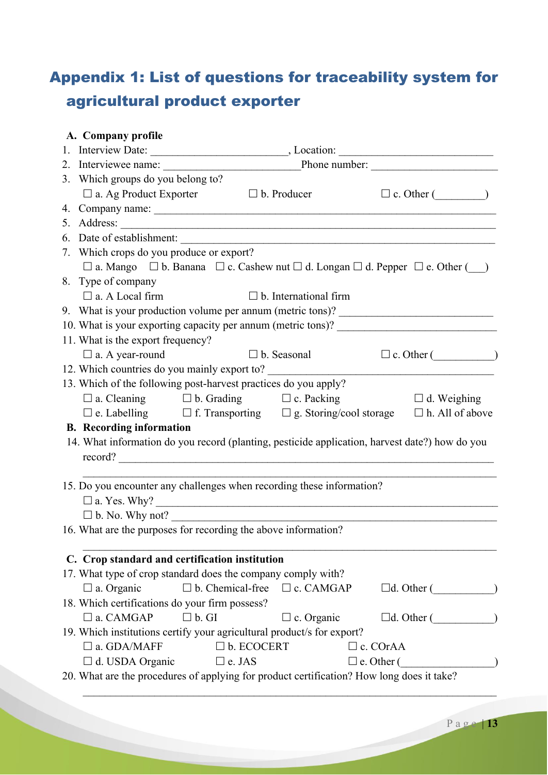# Appendix 1: List of questions for traceability system for agricultural product exporter

#### **A. Company profile**

| 3. Which groups do you belong to?                                                                            |                            |                                               |                   |                                              |  |  |  |
|--------------------------------------------------------------------------------------------------------------|----------------------------|-----------------------------------------------|-------------------|----------------------------------------------|--|--|--|
| $\Box$ a. Ag Product Exporter                                                                                | $\Box$ b. Producer         |                                               |                   | $\Box$ c. Other $(\_\_\_\_\_$                |  |  |  |
|                                                                                                              |                            |                                               |                   |                                              |  |  |  |
|                                                                                                              |                            |                                               |                   |                                              |  |  |  |
|                                                                                                              |                            |                                               |                   |                                              |  |  |  |
| 7. Which crops do you produce or export?                                                                     |                            |                                               |                   |                                              |  |  |  |
| $\Box$ a. Mango $\Box$ b. Banana $\Box$ c. Cashew nut $\Box$ d. Longan $\Box$ d. Pepper $\Box$ e. Other ()   |                            |                                               |                   |                                              |  |  |  |
| 8. Type of company                                                                                           |                            |                                               |                   |                                              |  |  |  |
| $\square$ a. A Local firm                                                                                    |                            | $\Box$ b. International firm                  |                   |                                              |  |  |  |
| 9. What is your production volume per annum (metric tons)? _____________________                             |                            |                                               |                   |                                              |  |  |  |
| 10. What is your exporting capacity per annum (metric tons)? ____________________                            |                            |                                               |                   |                                              |  |  |  |
| 11. What is the export frequency?                                                                            |                            |                                               |                   |                                              |  |  |  |
| $\square$ a. A year-round                                                                                    |                            | $\Box$ b. Seasonal $\Box$ c. Other ( $\Box$ ) |                   |                                              |  |  |  |
|                                                                                                              |                            |                                               |                   |                                              |  |  |  |
| 13. Which of the following post-harvest practices do you apply?                                              |                            |                                               |                   |                                              |  |  |  |
| $\Box$ a. Cleaning $\Box$ b. Grading $\Box$ c. Packing                                                       |                            |                                               |                   | $\Box$ d. Weighing                           |  |  |  |
| $\square$ e. Labelling $\square$ f. Transporting $\square$ g. Storing/cool storage $\square$ h. All of above |                            |                                               |                   |                                              |  |  |  |
| <b>B.</b> Recording information                                                                              |                            |                                               |                   |                                              |  |  |  |
| 14. What information do you record (planting, pesticide application, harvest date?) how do you               |                            |                                               |                   |                                              |  |  |  |
| record?                                                                                                      |                            |                                               |                   |                                              |  |  |  |
|                                                                                                              |                            |                                               |                   |                                              |  |  |  |
| 15. Do you encounter any challenges when recording these information?                                        |                            |                                               |                   |                                              |  |  |  |
|                                                                                                              |                            |                                               |                   |                                              |  |  |  |
| $\Box$ b. No. Why not?                                                                                       |                            |                                               |                   |                                              |  |  |  |
| 16. What are the purposes for recording the above information?                                               |                            |                                               |                   |                                              |  |  |  |
|                                                                                                              |                            |                                               |                   |                                              |  |  |  |
| C. Crop standard and certification institution                                                               |                            |                                               |                   |                                              |  |  |  |
| 17. What type of crop standard does the company comply with?                                                 |                            |                                               |                   |                                              |  |  |  |
| $\Box$ a. Organic                                                                                            | $\square$ b. Chemical-free | $\Box$ c. CAMGAP                              |                   | $\Box$ d. Other ()                           |  |  |  |
| 18. Which certifications do your firm possess?                                                               |                            |                                               |                   |                                              |  |  |  |
| $\square$ a. CAMGAP<br>$\square$ b. GI                                                                       |                            | $\Box$ c. Organic                             |                   | $\Box$ d. Other $(\underline{\hspace{1cm}})$ |  |  |  |
| 19. Which institutions certify your agricultural product/s for export?                                       |                            |                                               |                   |                                              |  |  |  |
| $\square$ a. GDA/MAFF                                                                                        | $\square$ b. ECOCERT       |                                               | $\Box$ c. COrAA   |                                              |  |  |  |
| $\Box$ d. USDA Organic                                                                                       | $\square$ e. JAS           |                                               | $\Box$ e. Other ( |                                              |  |  |  |
| 20. What are the procedures of applying for product certification? How long does it take?                    |                            |                                               |                   |                                              |  |  |  |
|                                                                                                              |                            |                                               |                   |                                              |  |  |  |
|                                                                                                              |                            |                                               |                   |                                              |  |  |  |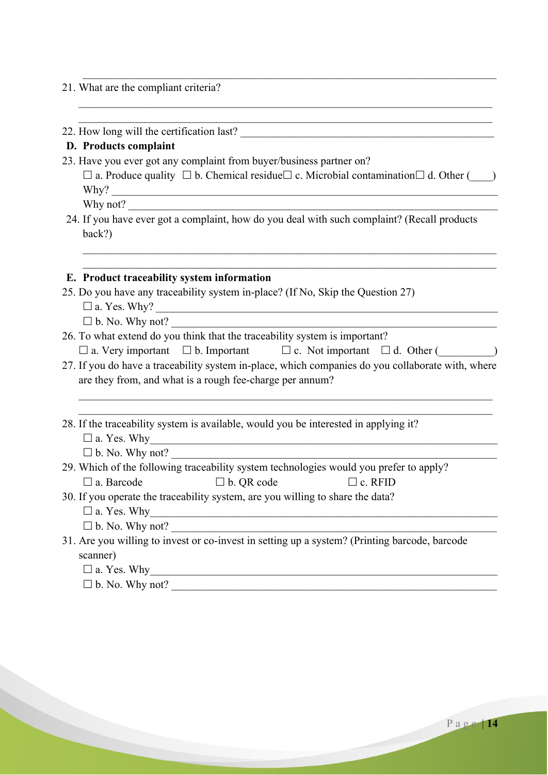#### 21. What are the compliant criteria?

22. How long will the certification last? \_\_\_\_\_\_\_\_\_\_\_\_\_\_\_\_\_\_\_\_\_\_\_\_\_\_\_\_\_\_\_\_\_\_\_\_\_\_\_\_\_\_\_\_\_\_

#### **D. Products complaint**

23. Have you ever got any complaint from buyer/business partner on?

 $\Box$  a. Produce quality  $\Box$  b. Chemical residue  $\Box$  c. Microbial contamination  $\Box$  d. Other ( $\Box$ ) Why? \_\_\_\_\_\_\_\_\_\_\_\_\_\_\_\_\_\_\_\_\_\_\_\_\_\_\_\_\_\_\_\_\_\_\_\_\_\_\_\_\_\_\_\_\_\_\_\_\_\_\_\_\_\_\_\_\_\_\_\_\_\_\_\_\_\_\_\_\_\_

\_\_\_\_\_\_\_\_\_\_\_\_\_\_\_\_\_\_\_\_\_\_\_\_\_\_\_\_\_\_\_\_\_\_\_\_\_\_\_\_\_\_\_\_\_\_\_\_\_\_\_\_\_\_\_\_\_\_\_\_\_\_\_\_\_\_\_\_\_\_\_\_\_\_\_ \_\_\_\_\_\_\_\_\_\_\_\_\_\_\_\_\_\_\_\_\_\_\_\_\_\_\_\_\_\_\_\_\_\_\_\_\_\_\_\_\_\_\_\_\_\_\_\_\_\_\_\_\_\_\_\_\_\_\_\_\_\_\_\_\_\_\_\_\_\_\_\_\_\_\_

\_\_\_\_\_\_\_\_\_\_\_\_\_\_\_\_\_\_\_\_\_\_\_\_\_\_\_\_\_\_\_\_\_\_\_\_\_\_\_\_\_\_\_\_\_\_\_\_\_\_\_\_\_\_\_\_\_\_\_\_\_\_\_\_\_\_\_\_\_\_\_\_\_\_\_

\_\_\_\_\_\_\_\_\_\_\_\_\_\_\_\_\_\_\_\_\_\_\_\_\_\_\_\_\_\_\_\_\_\_\_\_\_\_\_\_\_\_\_\_\_\_\_\_\_\_\_\_\_\_\_\_\_\_\_\_\_\_\_\_\_\_\_\_\_\_\_\_\_\_\_ \_\_\_\_\_\_\_\_\_\_\_\_\_\_\_\_\_\_\_\_\_\_\_\_\_\_\_\_\_\_\_\_\_\_\_\_\_\_\_\_\_\_\_\_\_\_\_\_\_\_\_\_\_\_\_\_\_\_\_\_\_\_\_\_\_\_\_\_\_\_\_\_\_\_\_

Why not?

24. If you have ever got a complaint, how do you deal with such complaint? (Recall products back?)

#### **E. Product traceability system information**

- 25. Do you have any traceability system in-place? (If No, Skip the Question 27)
	- a. Yes. Why? \_\_\_\_\_\_\_\_\_\_\_\_\_\_\_\_\_\_\_\_\_\_\_\_\_\_\_\_\_\_\_\_\_\_\_\_\_\_\_\_\_\_\_\_\_\_\_\_\_\_\_\_\_\_\_\_\_\_\_\_\_\_

 $\square$  b. No. Why not?

- 26. To what extend do you think that the traceability system is important?  $\Box$  a. Very important  $\Box$  b. Important  $\Box$  c. Not important  $\Box$  d. Other ( $\Box$ )
- 27. If you do have a traceability system in-place, which companies do you collaborate with, where are they from, and what is a rough fee-charge per annum?

\_\_\_\_\_\_\_\_\_\_\_\_\_\_\_\_\_\_\_\_\_\_\_\_\_\_\_\_\_\_\_\_\_\_\_\_\_\_\_\_\_\_\_\_\_\_\_\_\_\_\_\_\_\_\_\_\_\_\_\_\_\_\_\_\_\_\_\_\_\_\_\_\_\_\_ \_\_\_\_\_\_\_\_\_\_\_\_\_\_\_\_\_\_\_\_\_\_\_\_\_\_\_\_\_\_\_\_\_\_\_\_\_\_\_\_\_\_\_\_\_\_\_\_\_\_\_\_\_\_\_\_\_\_\_\_\_\_\_\_\_\_\_\_\_\_\_\_\_\_\_

28. If the traceability system is available, would you be interested in applying it?  $\square$  a. Yes. Why

b. No. Why not? \_\_\_\_\_\_\_\_\_\_\_\_\_\_\_\_\_\_\_\_\_\_\_\_\_\_\_\_\_\_\_\_\_\_\_\_\_\_\_\_\_\_\_\_\_\_\_\_\_\_\_\_\_\_\_\_\_\_\_

|                   | 29. Which of the following traceability system technologies would you prefer to apply? |                   |                |  |
|-------------------|----------------------------------------------------------------------------------------|-------------------|----------------|--|
| $\Box$ a. Barcode |                                                                                        | $\Box$ b. QR code | $\Box$ c. RFID |  |

30. If you operate the traceability system, are you willing to share the data?  $\square$  a. Yes. Why

 $\square$  b. No. Why not?

31. Are you willing to invest or co-invest in setting up a system? (Printing barcode, barcode scanner)

 $\square$  a. Yes. Why

 $\square$  b. No. Why not?